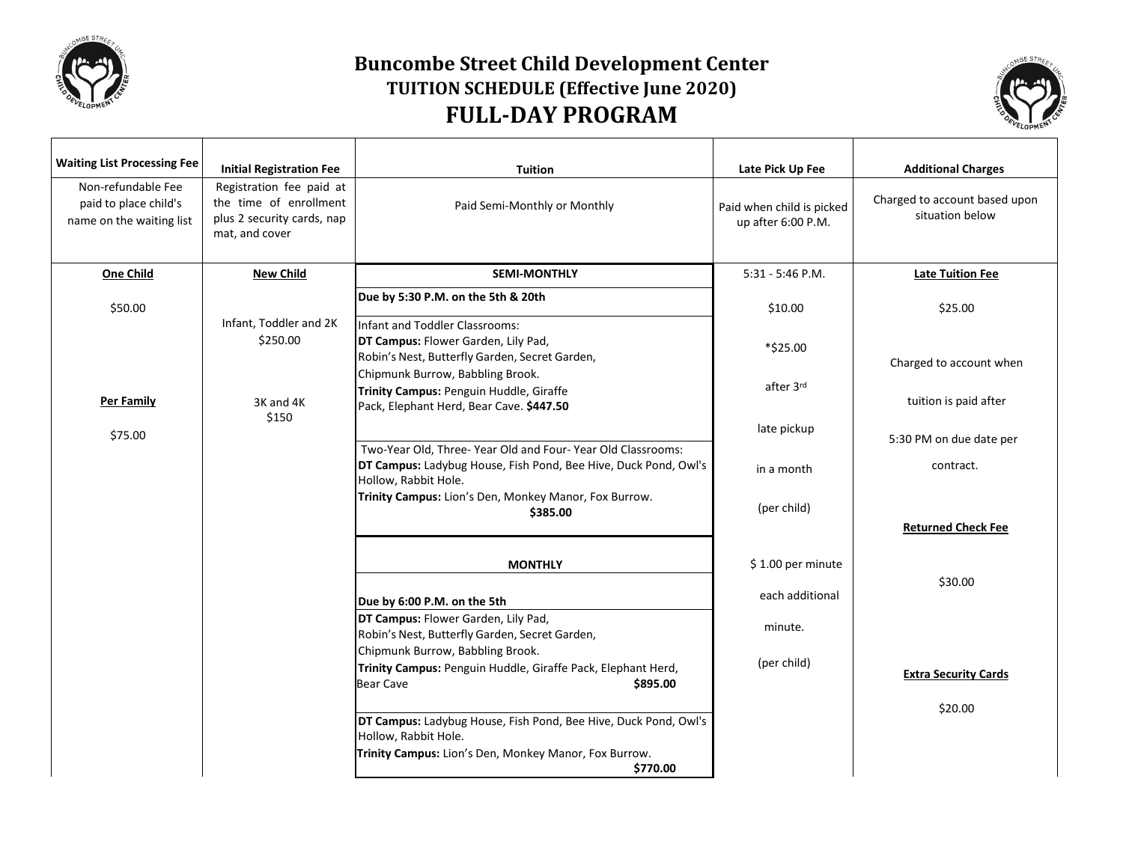

## **Buncombe Street Child Development Center TUITION SCHEDULE (Effective June 2020) FULL-DAY PROGRAM**



| <b>Waiting List Processing Fee</b>                                      | <b>Initial Registration Fee</b>                                                                    | <b>Tuition</b>                                                                                                                                        | Late Pick Up Fee                                | <b>Additional Charges</b>                        |
|-------------------------------------------------------------------------|----------------------------------------------------------------------------------------------------|-------------------------------------------------------------------------------------------------------------------------------------------------------|-------------------------------------------------|--------------------------------------------------|
| Non-refundable Fee<br>paid to place child's<br>name on the waiting list | Registration fee paid at<br>the time of enrollment<br>plus 2 security cards, nap<br>mat, and cover | Paid Semi-Monthly or Monthly                                                                                                                          | Paid when child is picked<br>up after 6:00 P.M. | Charged to account based upon<br>situation below |
| <b>One Child</b>                                                        | <b>New Child</b>                                                                                   | <b>SEMI-MONTHLY</b>                                                                                                                                   | $5:31 - 5:46$ P.M.                              | <b>Late Tuition Fee</b>                          |
| \$50.00                                                                 | Infant, Toddler and 2K                                                                             | Due by 5:30 P.M. on the 5th & 20th<br>Infant and Toddler Classrooms:                                                                                  | \$10.00                                         | \$25.00                                          |
|                                                                         | \$250.00                                                                                           | DT Campus: Flower Garden, Lily Pad,<br>Robin's Nest, Butterfly Garden, Secret Garden,                                                                 | *\$25.00                                        | Charged to account when                          |
| Per Family                                                              | 3K and 4K                                                                                          | Chipmunk Burrow, Babbling Brook.<br>Trinity Campus: Penguin Huddle, Giraffe<br>Pack, Elephant Herd, Bear Cave. \$447.50                               | after 3rd                                       | tuition is paid after                            |
| \$75.00                                                                 | \$150                                                                                              |                                                                                                                                                       | late pickup                                     | 5:30 PM on due date per                          |
|                                                                         |                                                                                                    | Two-Year Old, Three-Year Old and Four-Year Old Classrooms:<br>DT Campus: Ladybug House, Fish Pond, Bee Hive, Duck Pond, Owl's<br>Hollow, Rabbit Hole. | in a month                                      | contract.                                        |
|                                                                         |                                                                                                    | Trinity Campus: Lion's Den, Monkey Manor, Fox Burrow.<br>\$385.00                                                                                     | (per child)                                     |                                                  |
|                                                                         |                                                                                                    |                                                                                                                                                       |                                                 | <b>Returned Check Fee</b>                        |
|                                                                         |                                                                                                    | <b>MONTHLY</b>                                                                                                                                        | \$1.00 per minute                               |                                                  |
|                                                                         |                                                                                                    | Due by 6:00 P.M. on the 5th                                                                                                                           | each additional                                 | \$30.00                                          |
|                                                                         |                                                                                                    | DT Campus: Flower Garden, Lily Pad,<br>Robin's Nest, Butterfly Garden, Secret Garden,                                                                 | minute.                                         |                                                  |
|                                                                         |                                                                                                    | Chipmunk Burrow, Babbling Brook.<br>Trinity Campus: Penguin Huddle, Giraffe Pack, Elephant Herd,<br>\$895.00<br><b>Bear Cave</b>                      | (per child)                                     | <b>Extra Security Cards</b>                      |
|                                                                         |                                                                                                    | DT Campus: Ladybug House, Fish Pond, Bee Hive, Duck Pond, Owl's                                                                                       |                                                 | \$20.00                                          |
|                                                                         |                                                                                                    | Hollow, Rabbit Hole.<br>Trinity Campus: Lion's Den, Monkey Manor, Fox Burrow.<br>\$770.00                                                             |                                                 |                                                  |